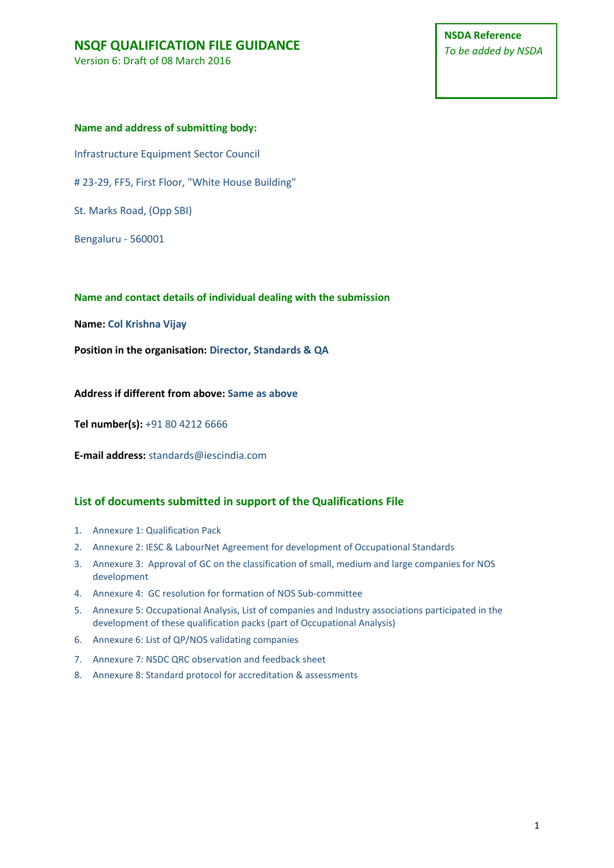Version 6: Draft of 08 March 2016

#### **Name and address of submitting body:**

Infrastructure Equipment Sector Council

# 23-29, FF5, First Floor, "White House Building"

St. Marks Road, (Opp SBI)

Bengaluru - 560001

#### **Name and contact details of individual dealing with the submission**

**Name: Col Krishna Vijay**

**Position in the organisation: Director, Standards & QA**

**Address if different from above: Same as above**

**Tel number(s):** +91 80 4212 6666

**E-mail address:** standards@iescindia.com

#### **List of documents submitted in support of the Qualifications File**

- 1. Annexure 1: Qualification Pack
- 2. Annexure 2: IESC & LabourNet Agreement for development of Occupational Standards
- 3. Annexure 3: Approval of GC on the classification of small, medium and large companies for NOS development
- 4. Annexure 4: GC resolution for formation of NOS Sub-committee
- 5. Annexure 5: Occupational Analysis, List of companies and Industry associations participated in the development of these qualification packs (part of Occupational Analysis)
- 6. Annexure 6: List of QP/NOS validating companies
- 7. Annexure 7: NSDC QRC observation and feedback sheet
- 8. Annexure 8: Standard protocol for accreditation & assessments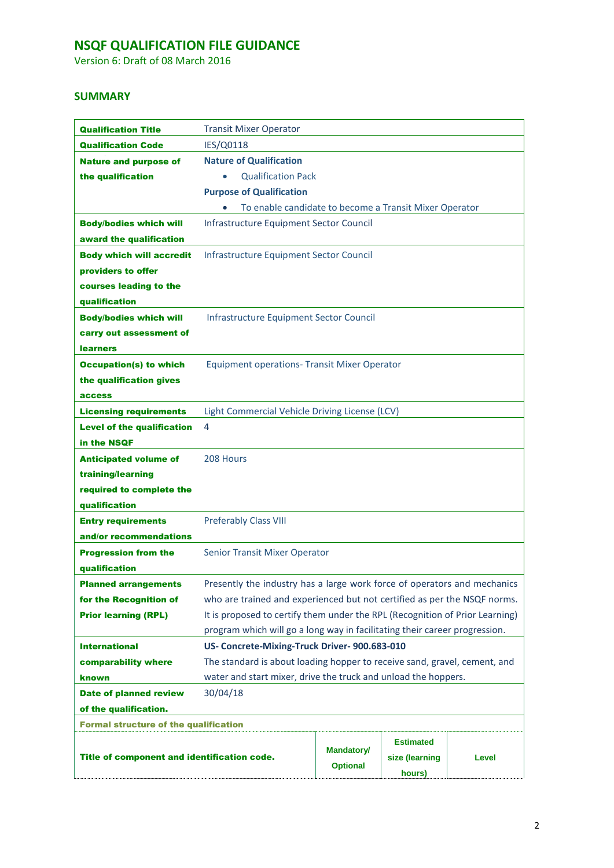Version 6: Draft of 08 March 2016

### **SUMMARY**

| <b>Qualification Title</b>                   | <b>Transit Mixer Operator</b>                                                |                   |                  |       |  |
|----------------------------------------------|------------------------------------------------------------------------------|-------------------|------------------|-------|--|
| <b>Qualification Code</b>                    | IES/Q0118                                                                    |                   |                  |       |  |
| <b>Nature and purpose of</b>                 | <b>Nature of Qualification</b>                                               |                   |                  |       |  |
| the qualification                            | <b>Qualification Pack</b>                                                    |                   |                  |       |  |
|                                              | <b>Purpose of Qualification</b>                                              |                   |                  |       |  |
|                                              | To enable candidate to become a Transit Mixer Operator                       |                   |                  |       |  |
| <b>Body/bodies which will</b>                | Infrastructure Equipment Sector Council                                      |                   |                  |       |  |
| award the qualification                      |                                                                              |                   |                  |       |  |
| <b>Body which will accredit</b>              | <b>Infrastructure Equipment Sector Council</b>                               |                   |                  |       |  |
| providers to offer                           |                                                                              |                   |                  |       |  |
| courses leading to the                       |                                                                              |                   |                  |       |  |
| qualification                                |                                                                              |                   |                  |       |  |
| <b>Body/bodies which will</b>                | Infrastructure Equipment Sector Council                                      |                   |                  |       |  |
| carry out assessment of                      |                                                                              |                   |                  |       |  |
| <b>learners</b>                              |                                                                              |                   |                  |       |  |
| <b>Occupation(s) to which</b>                | <b>Equipment operations- Transit Mixer Operator</b>                          |                   |                  |       |  |
| the qualification gives                      |                                                                              |                   |                  |       |  |
| access                                       |                                                                              |                   |                  |       |  |
| <b>Licensing requirements</b>                | Light Commercial Vehicle Driving License (LCV)                               |                   |                  |       |  |
| <b>Level of the qualification</b>            | 4                                                                            |                   |                  |       |  |
| in the NSQF                                  |                                                                              |                   |                  |       |  |
| <b>Anticipated volume of</b>                 | 208 Hours                                                                    |                   |                  |       |  |
| training/learning                            |                                                                              |                   |                  |       |  |
| required to complete the                     |                                                                              |                   |                  |       |  |
| qualification                                |                                                                              |                   |                  |       |  |
| <b>Entry requirements</b>                    | <b>Preferably Class VIII</b>                                                 |                   |                  |       |  |
| and/or recommendations                       |                                                                              |                   |                  |       |  |
| <b>Progression from the</b>                  | <b>Senior Transit Mixer Operator</b>                                         |                   |                  |       |  |
| qualification                                |                                                                              |                   |                  |       |  |
| <b>Planned arrangements</b>                  | Presently the industry has a large work force of operators and mechanics     |                   |                  |       |  |
| for the Recognition of                       | who are trained and experienced but not certified as per the NSQF norms.     |                   |                  |       |  |
| <b>Prior learning (RPL)</b>                  | It is proposed to certify them under the RPL (Recognition of Prior Learning) |                   |                  |       |  |
|                                              | program which will go a long way in facilitating their career progression.   |                   |                  |       |  |
| <b>International</b>                         | US- Concrete-Mixing-Truck Driver- 900.683-010                                |                   |                  |       |  |
| comparability where                          | The standard is about loading hopper to receive sand, gravel, cement, and    |                   |                  |       |  |
| known                                        | water and start mixer, drive the truck and unload the hoppers.               |                   |                  |       |  |
| <b>Date of planned review</b>                | 30/04/18                                                                     |                   |                  |       |  |
| of the qualification.                        |                                                                              |                   |                  |       |  |
| <b>Formal structure of the qualification</b> |                                                                              |                   |                  |       |  |
|                                              |                                                                              | <b>Mandatory/</b> | <b>Estimated</b> |       |  |
| Title of component and identification code.  |                                                                              | <b>Optional</b>   | size (learning   | Level |  |
|                                              |                                                                              |                   | hours)           |       |  |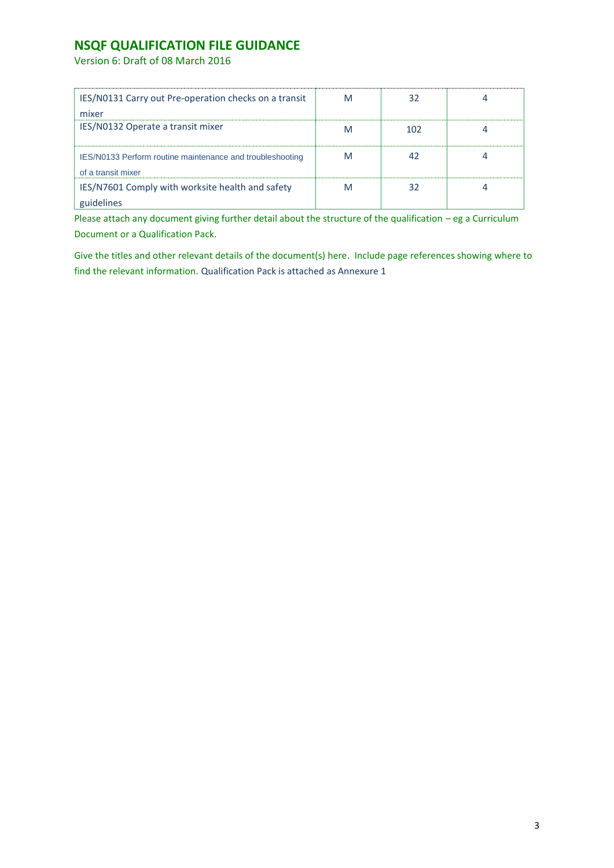Version 6: Draft of 08 March 2016

| IES/N0131 Carry out Pre-operation checks on a transit<br>mixer                  | 32  |  |
|---------------------------------------------------------------------------------|-----|--|
| IES/N0132 Operate a transit mixer                                               | 102 |  |
| IES/N0133 Perform routine maintenance and troubleshooting<br>of a transit mixer |     |  |
| IES/N7601 Comply with worksite health and safety<br>guidelines                  |     |  |

Please attach any document giving further detail about the structure of the qualification – eg a Curriculum Document or a Qualification Pack.

Give the titles and other relevant details of the document(s) here. Include page references showing where to find the relevant information. Qualification Pack is attached as Annexure 1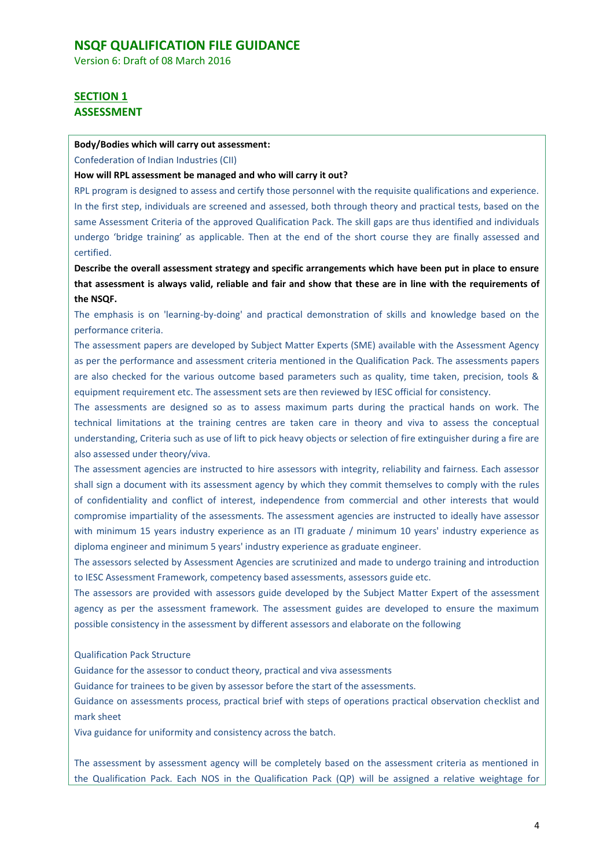Version 6: Draft of 08 March 2016

### **SECTION 1 ASSESSMENT**

#### **Body/Bodies which will carry out assessment:**

Confederation of Indian Industries (CII)

#### **How will RPL assessment be managed and who will carry it out?**

RPL program is designed to assess and certify those personnel with the requisite qualifications and experience. In the first step, individuals are screened and assessed, both through theory and practical tests, based on the same Assessment Criteria of the approved Qualification Pack. The skill gaps are thus identified and individuals undergo 'bridge training' as applicable. Then at the end of the short course they are finally assessed and certified.

**Describe the overall assessment strategy and specific arrangements which have been put in place to ensure that assessment is always valid, reliable and fair and show that these are in line with the requirements of the NSQF.**

The emphasis is on 'learning-by-doing' and practical demonstration of skills and knowledge based on the performance criteria.

The assessment papers are developed by Subject Matter Experts (SME) available with the Assessment Agency as per the performance and assessment criteria mentioned in the Qualification Pack. The assessments papers are also checked for the various outcome based parameters such as quality, time taken, precision, tools & equipment requirement etc. The assessment sets are then reviewed by IESC official for consistency.

The assessments are designed so as to assess maximum parts during the practical hands on work. The technical limitations at the training centres are taken care in theory and viva to assess the conceptual understanding, Criteria such as use of lift to pick heavy objects or selection of fire extinguisher during a fire are also assessed under theory/viva.

The assessment agencies are instructed to hire assessors with integrity, reliability and fairness. Each assessor shall sign a document with its assessment agency by which they commit themselves to comply with the rules of confidentiality and conflict of interest, independence from commercial and other interests that would compromise impartiality of the assessments. The assessment agencies are instructed to ideally have assessor with minimum 15 years industry experience as an ITI graduate / minimum 10 years' industry experience as diploma engineer and minimum 5 years' industry experience as graduate engineer.

The assessors selected by Assessment Agencies are scrutinized and made to undergo training and introduction to IESC Assessment Framework, competency based assessments, assessors guide etc.

The assessors are provided with assessors guide developed by the Subject Matter Expert of the assessment agency as per the assessment framework. The assessment guides are developed to ensure the maximum possible consistency in the assessment by different assessors and elaborate on the following

#### Qualification Pack Structure

Guidance for the assessor to conduct theory, practical and viva assessments

Guidance for trainees to be given by assessor before the start of the assessments.

Guidance on assessments process, practical brief with steps of operations practical observation checklist and mark sheet

Viva guidance for uniformity and consistency across the batch.

The assessment by assessment agency will be completely based on the assessment criteria as mentioned in the Qualification Pack. Each NOS in the Qualification Pack (QP) will be assigned a relative weightage for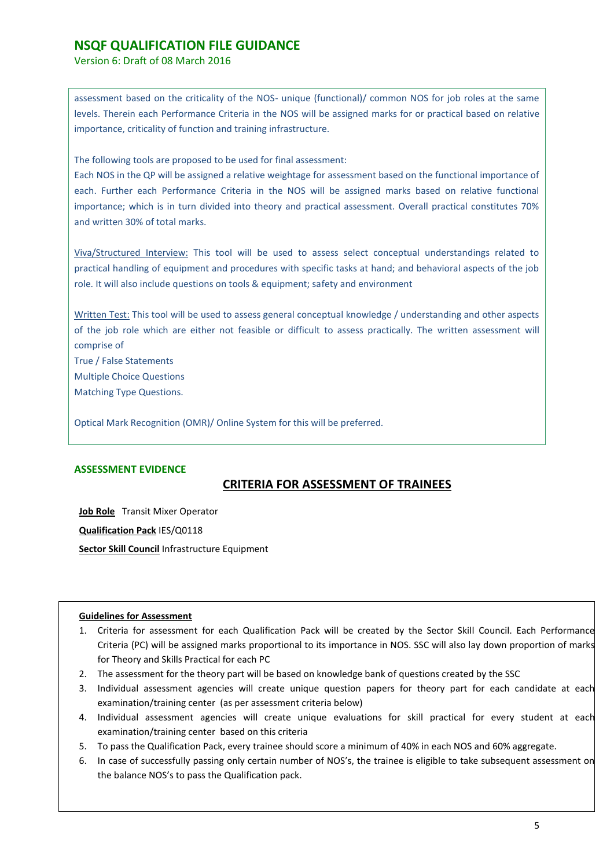Version 6: Draft of 08 March 2016

assessment based on the criticality of the NOS- unique (functional)/ common NOS for job roles at the same levels. Therein each Performance Criteria in the NOS will be assigned marks for or practical based on relative importance, criticality of function and training infrastructure.

The following tools are proposed to be used for final assessment:

Each NOS in the QP will be assigned a relative weightage for assessment based on the functional importance of each. Further each Performance Criteria in the NOS will be assigned marks based on relative functional importance; which is in turn divided into theory and practical assessment. Overall practical constitutes 70% and written 30% of total marks.

Viva/Structured Interview: This tool will be used to assess select conceptual understandings related to practical handling of equipment and procedures with specific tasks at hand; and behavioral aspects of the job role. It will also include questions on tools & equipment; safety and environment

Written Test: This tool will be used to assess general conceptual knowledge / understanding and other aspects of the job role which are either not feasible or difficult to assess practically. The written assessment will comprise of

True / False Statements Multiple Choice Questions Matching Type Questions.

Optical Mark Recognition (OMR)/ Online System for this will be preferred.

#### **ASSESSMENT EVIDENCE**

### **CRITERIA FOR ASSESSMENT OF TRAINEES**

**Job Role** Transit Mixer Operator

**Qualification Pack** IES/Q0118

**Sector Skill Council** Infrastructure Equipment

#### **Guidelines for Assessment**

- 1. Criteria for assessment for each Qualification Pack will be created by the Sector Skill Council. Each Performance Criteria (PC) will be assigned marks proportional to its importance in NOS. SSC will also lay down proportion of marks for Theory and Skills Practical for each PC
- 2. The assessment for the theory part will be based on knowledge bank of questions created by the SSC
- 3. Individual assessment agencies will create unique question papers for theory part for each candidate at each examination/training center (as per assessment criteria below)
- 4. Individual assessment agencies will create unique evaluations for skill practical for every student at each examination/training center based on this criteria
- 5. To pass the Qualification Pack, every trainee should score a minimum of 40% in each NOS and 60% aggregate.
- 6. In case of successfully passing only certain number of NOS's, the trainee is eligible to take subsequent assessment on the balance NOS's to pass the Qualification pack.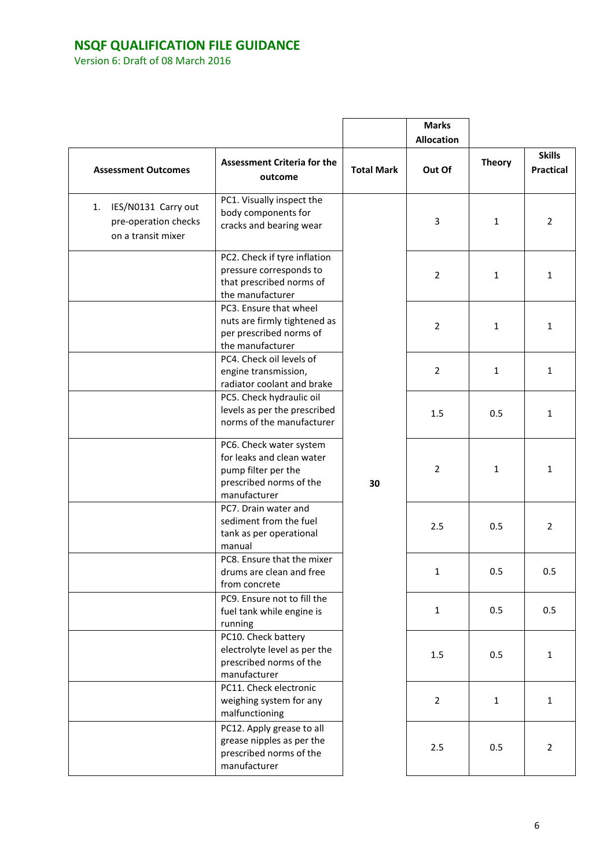|                                                                         |                                                                                                                        |                   | <b>Marks</b><br><b>Allocation</b> |               | <b>Skills</b>    |
|-------------------------------------------------------------------------|------------------------------------------------------------------------------------------------------------------------|-------------------|-----------------------------------|---------------|------------------|
| <b>Assessment Outcomes</b>                                              | <b>Assessment Criteria for the</b><br>outcome                                                                          | <b>Total Mark</b> | Out Of                            | <b>Theory</b> | <b>Practical</b> |
| 1.<br>IES/N0131 Carry out<br>pre-operation checks<br>on a transit mixer | PC1. Visually inspect the<br>body components for<br>cracks and bearing wear                                            |                   | 3                                 | $\mathbf{1}$  | $\overline{2}$   |
|                                                                         | PC2. Check if tyre inflation<br>pressure corresponds to<br>that prescribed norms of<br>the manufacturer                |                   | 2                                 | $\mathbf{1}$  | 1                |
|                                                                         | PC3. Ensure that wheel<br>nuts are firmly tightened as<br>per prescribed norms of<br>the manufacturer                  |                   | $\overline{2}$                    | $\mathbf{1}$  | 1                |
|                                                                         | PC4. Check oil levels of<br>engine transmission,<br>radiator coolant and brake                                         |                   | $\overline{2}$                    | $\mathbf{1}$  | 1                |
|                                                                         | PC5. Check hydraulic oil<br>levels as per the prescribed<br>norms of the manufacturer                                  |                   | 1.5                               | 0.5           | 1                |
|                                                                         | PC6. Check water system<br>for leaks and clean water<br>pump filter per the<br>prescribed norms of the<br>manufacturer | 30                | $\overline{2}$                    | $\mathbf{1}$  | $\mathbf{1}$     |
|                                                                         | PC7. Drain water and<br>sediment from the fuel<br>tank as per operational<br>manual                                    |                   | 2.5                               | 0.5           | 2                |
|                                                                         | PC8. Ensure that the mixer<br>drums are clean and free<br>from concrete                                                |                   | 1                                 | 0.5           | 0.5              |
|                                                                         | PC9. Ensure not to fill the<br>fuel tank while engine is<br>running                                                    |                   | $\mathbf{1}$                      | 0.5           | 0.5              |
|                                                                         | PC10. Check battery<br>electrolyte level as per the<br>prescribed norms of the<br>manufacturer                         |                   | 1.5                               | 0.5           | $\mathbf{1}$     |
|                                                                         | PC11. Check electronic<br>weighing system for any<br>malfunctioning                                                    |                   | $\overline{2}$                    | $\mathbf{1}$  | $\mathbf{1}$     |
|                                                                         | PC12. Apply grease to all<br>grease nipples as per the<br>prescribed norms of the<br>manufacturer                      |                   | 2.5                               | 0.5           | $\overline{2}$   |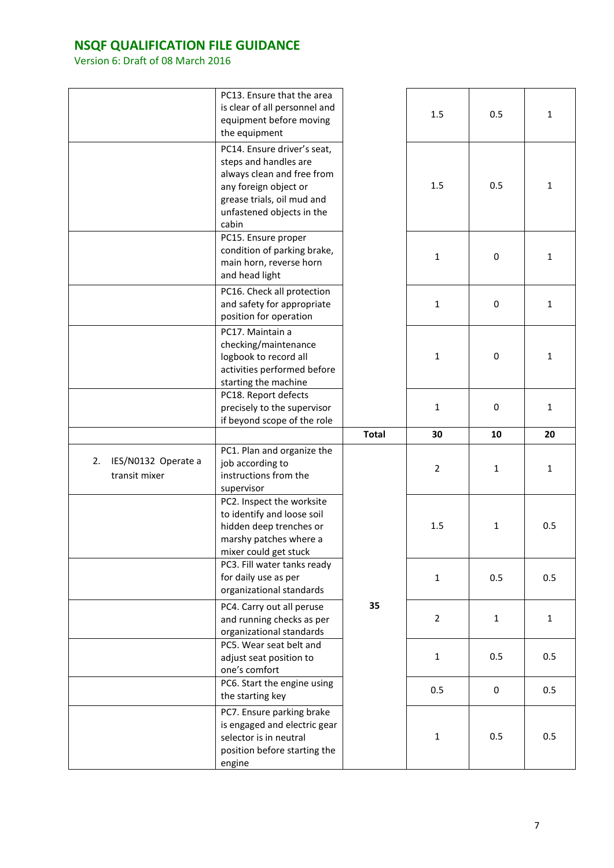|                                            | PC13. Ensure that the area<br>is clear of all personnel and<br>equipment before moving<br>the equipment                                                                         |              | 1.5            | 0.5          | $\mathbf{1}$ |
|--------------------------------------------|---------------------------------------------------------------------------------------------------------------------------------------------------------------------------------|--------------|----------------|--------------|--------------|
|                                            | PC14. Ensure driver's seat,<br>steps and handles are<br>always clean and free from<br>any foreign object or<br>grease trials, oil mud and<br>unfastened objects in the<br>cabin |              | 1.5            | 0.5          | $\mathbf{1}$ |
|                                            | PC15. Ensure proper<br>condition of parking brake,<br>main horn, reverse horn<br>and head light                                                                                 |              | 1              | 0            | $\mathbf{1}$ |
|                                            | PC16. Check all protection<br>and safety for appropriate<br>position for operation                                                                                              |              | $\mathbf{1}$   | 0            | $\mathbf{1}$ |
|                                            | PC17. Maintain a<br>checking/maintenance<br>logbook to record all<br>activities performed before<br>starting the machine                                                        |              | 1              | $\mathbf 0$  | 1            |
|                                            | PC18. Report defects<br>precisely to the supervisor<br>if beyond scope of the role                                                                                              |              | 1              | $\mathbf 0$  | $\mathbf{1}$ |
|                                            |                                                                                                                                                                                 | <b>Total</b> | 30             | 10           | 20           |
|                                            |                                                                                                                                                                                 |              |                |              |              |
| IES/N0132 Operate a<br>2.<br>transit mixer | PC1. Plan and organize the<br>job according to<br>instructions from the<br>supervisor                                                                                           |              | $\overline{2}$ | $\mathbf{1}$ | $\mathbf{1}$ |
|                                            | PC2. Inspect the worksite<br>to identify and loose soil<br>hidden deep trenches or<br>marshy patches where a<br>mixer could get stuck                                           |              | 1.5            | $\mathbf{1}$ | 0.5          |
|                                            | PC3. Fill water tanks ready<br>for daily use as per<br>organizational standards                                                                                                 |              | $\mathbf{1}$   | 0.5          | 0.5          |
|                                            | PC4. Carry out all peruse<br>and running checks as per<br>organizational standards                                                                                              | 35           | $\overline{2}$ | $\mathbf{1}$ | $\mathbf{1}$ |
|                                            | PC5. Wear seat belt and<br>adjust seat position to<br>one's comfort                                                                                                             |              | $\mathbf{1}$   | 0.5          | 0.5          |
|                                            | PC6. Start the engine using<br>the starting key                                                                                                                                 |              | 0.5            | 0            | 0.5          |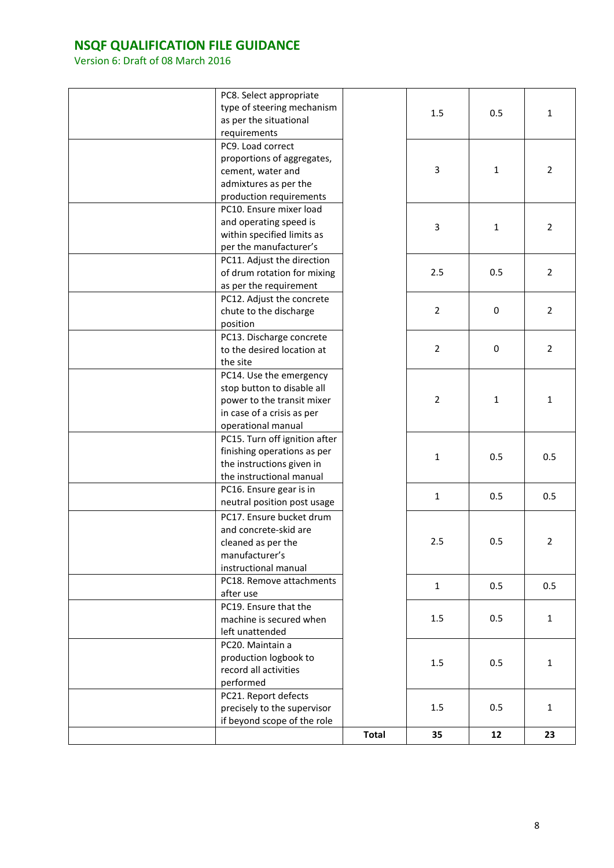|           | PC8. Select appropriate<br>type of steering mechanism<br>as per the situational                                                         |              | 1.5            | 0.5          | $\mathbf{1}$   |
|-----------|-----------------------------------------------------------------------------------------------------------------------------------------|--------------|----------------|--------------|----------------|
|           | requirements<br>PC9. Load correct<br>proportions of aggregates,<br>cement, water and<br>admixtures as per the                           |              | 3              | 1            | $\overline{2}$ |
|           | production requirements<br>PC10. Ensure mixer load<br>and operating speed is<br>within specified limits as<br>per the manufacturer's    |              | 3              | $\mathbf{1}$ | $\overline{2}$ |
|           | PC11. Adjust the direction<br>of drum rotation for mixing<br>as per the requirement                                                     |              | 2.5            | 0.5          | $\overline{2}$ |
| position  | PC12. Adjust the concrete<br>chute to the discharge                                                                                     |              | $\overline{2}$ | 0            | $\overline{2}$ |
| the site  | PC13. Discharge concrete<br>to the desired location at                                                                                  |              | $\overline{2}$ | 0            | $\overline{2}$ |
|           | PC14. Use the emergency<br>stop button to disable all<br>power to the transit mixer<br>in case of a crisis as per<br>operational manual |              | $\overline{2}$ | 1            | 1              |
|           | PC15. Turn off ignition after<br>finishing operations as per<br>the instructions given in<br>the instructional manual                   |              | $\mathbf 1$    | 0.5          | 0.5            |
|           | PC16. Ensure gear is in<br>neutral position post usage                                                                                  |              | $\mathbf{1}$   | 0.5          | 0.5            |
|           | PC17. Ensure bucket drum<br>and concrete-skid are<br>cleaned as per the<br>manufacturer's<br>instructional manual                       |              | 2.5            | 0.5          | $\overline{2}$ |
| after use | PC18. Remove attachments                                                                                                                |              | $\mathbf{1}$   | 0.5          | 0.5            |
|           | PC19. Ensure that the<br>machine is secured when<br>left unattended                                                                     |              | 1.5            | 0.5          | $\mathbf{1}$   |
| performed | PC20. Maintain a<br>production logbook to<br>record all activities                                                                      |              | 1.5            | 0.5          | $\mathbf{1}$   |
|           | PC21. Report defects<br>precisely to the supervisor<br>if beyond scope of the role                                                      |              | 1.5            | 0.5          | $\mathbf{1}$   |
|           |                                                                                                                                         | <b>Total</b> | 35             | 12           | 23             |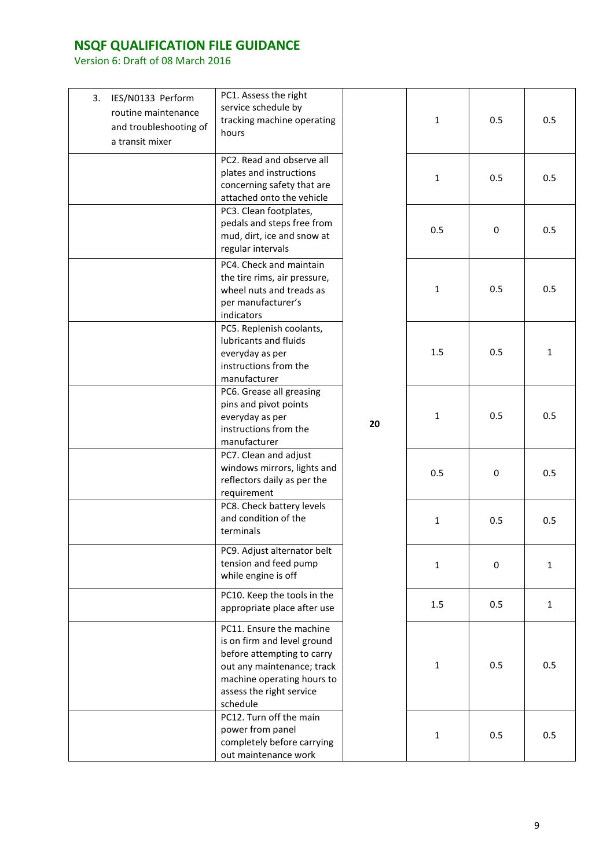| 3.<br>IES/N0133 Perform<br>routine maintenance<br>and troubleshooting of<br>a transit mixer | PC1. Assess the right<br>service schedule by<br>tracking machine operating<br>hours                                                                                                       |    |              | $\mathbf{1}$ | 0.5          | 0.5 |
|---------------------------------------------------------------------------------------------|-------------------------------------------------------------------------------------------------------------------------------------------------------------------------------------------|----|--------------|--------------|--------------|-----|
|                                                                                             | PC2. Read and observe all<br>plates and instructions<br>concerning safety that are<br>attached onto the vehicle                                                                           |    |              | $\mathbf{1}$ | 0.5          | 0.5 |
|                                                                                             | PC3. Clean footplates,<br>pedals and steps free from<br>mud, dirt, ice and snow at<br>regular intervals                                                                                   |    | 0.5          | 0            | 0.5          |     |
|                                                                                             | PC4. Check and maintain<br>the tire rims, air pressure,<br>wheel nuts and treads as<br>per manufacturer's<br>indicators                                                                   |    | 1            | 0.5          | 0.5          |     |
|                                                                                             | PC5. Replenish coolants,<br>lubricants and fluids<br>everyday as per<br>instructions from the<br>manufacturer                                                                             |    | 1.5          | 0.5          | $\mathbf{1}$ |     |
|                                                                                             | PC6. Grease all greasing<br>pins and pivot points<br>everyday as per<br>instructions from the<br>manufacturer                                                                             | 20 | 1            | 0.5          | 0.5          |     |
|                                                                                             | PC7. Clean and adjust<br>windows mirrors, lights and<br>reflectors daily as per the<br>requirement                                                                                        |    | 0.5          | 0            | 0.5          |     |
|                                                                                             | PC8. Check battery levels<br>and condition of the<br>terminals                                                                                                                            |    | 1            | 0.5          | 0.5          |     |
|                                                                                             | PC9. Adjust alternator belt<br>tension and feed pump<br>while engine is off                                                                                                               |    | 1            | 0            | 1            |     |
|                                                                                             | PC10. Keep the tools in the<br>appropriate place after use                                                                                                                                |    | 1.5          | 0.5          | $\mathbf{1}$ |     |
|                                                                                             | PC11. Ensure the machine<br>is on firm and level ground<br>before attempting to carry<br>out any maintenance; track<br>machine operating hours to<br>assess the right service<br>schedule |    | $\mathbf{1}$ | 0.5          | 0.5          |     |
|                                                                                             | PC12. Turn off the main<br>power from panel<br>completely before carrying<br>out maintenance work                                                                                         |    | $\mathbf{1}$ | 0.5          | 0.5          |     |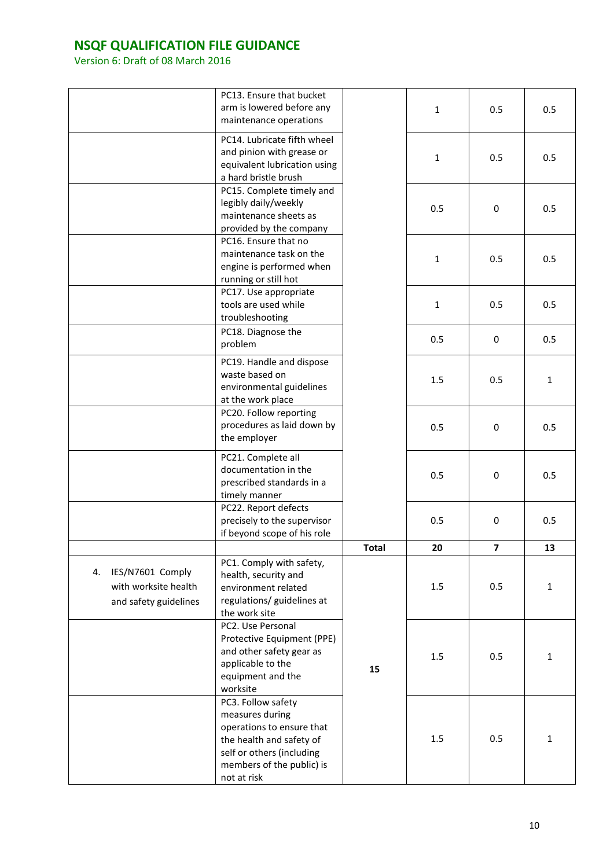|                                                                         | PC13. Ensure that bucket<br>arm is lowered before any<br>maintenance operations                                                                                         |              | $\mathbf{1}$ | 0.5 | 0.5          |
|-------------------------------------------------------------------------|-------------------------------------------------------------------------------------------------------------------------------------------------------------------------|--------------|--------------|-----|--------------|
|                                                                         | PC14. Lubricate fifth wheel<br>and pinion with grease or<br>equivalent lubrication using<br>a hard bristle brush                                                        |              | 1            | 0.5 | 0.5          |
|                                                                         | PC15. Complete timely and<br>legibly daily/weekly<br>maintenance sheets as<br>provided by the company                                                                   |              | 0.5          | 0   | 0.5          |
|                                                                         | PC16. Ensure that no<br>maintenance task on the<br>engine is performed when<br>running or still hot                                                                     |              | 1            | 0.5 | 0.5          |
|                                                                         | PC17. Use appropriate<br>tools are used while<br>troubleshooting                                                                                                        |              | $\mathbf{1}$ | 0.5 | 0.5          |
|                                                                         | PC18. Diagnose the<br>problem                                                                                                                                           |              | 0.5          | 0   | 0.5          |
|                                                                         | PC19. Handle and dispose<br>waste based on<br>environmental guidelines<br>at the work place                                                                             |              | 1.5          | 0.5 | $\mathbf{1}$ |
|                                                                         | PC20. Follow reporting<br>procedures as laid down by<br>the employer                                                                                                    |              | 0.5          | 0   | 0.5          |
|                                                                         | PC21. Complete all<br>documentation in the<br>prescribed standards in a<br>timely manner                                                                                |              | 0.5          | 0   | 0.5          |
|                                                                         | PC22. Report defects<br>precisely to the supervisor<br>if beyond scope of his role                                                                                      |              | 0.5          | 0   | 0.5          |
|                                                                         |                                                                                                                                                                         | <b>Total</b> | 20           | 7   | 13           |
| IES/N7601 Comply<br>4.<br>with worksite health<br>and safety guidelines | PC1. Comply with safety,<br>health, security and<br>environment related<br>regulations/ guidelines at<br>the work site                                                  |              | 1.5          | 0.5 | $\mathbf{1}$ |
|                                                                         | PC2. Use Personal<br>Protective Equipment (PPE)<br>and other safety gear as<br>applicable to the<br>equipment and the<br>worksite                                       | 15           | 1.5          | 0.5 | $\mathbf{1}$ |
|                                                                         | PC3. Follow safety<br>measures during<br>operations to ensure that<br>the health and safety of<br>self or others (including<br>members of the public) is<br>not at risk |              | 1.5          | 0.5 | $\mathbf{1}$ |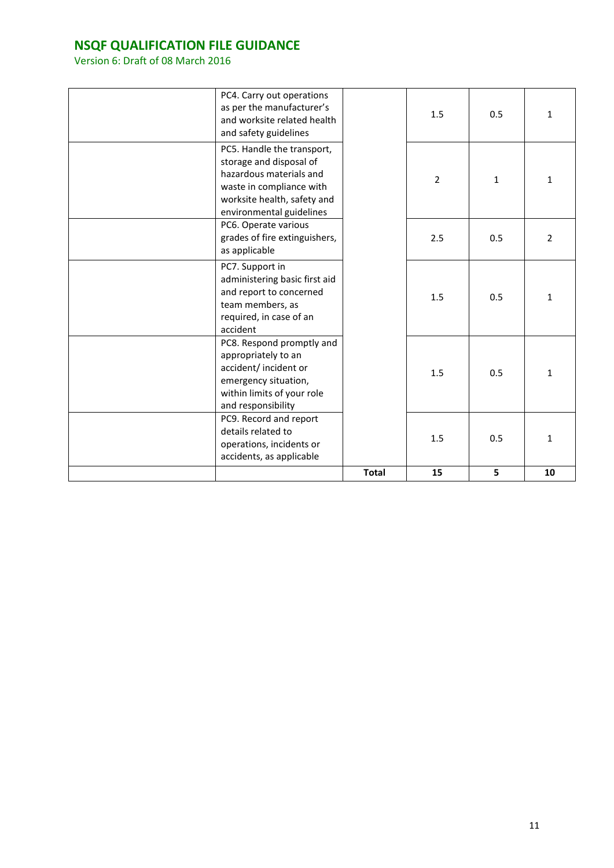|                                                 | PC4. Carry out operations<br>as per the manufacturer's<br>and worksite related health<br>and safety guidelines                                                          |              | 1.5            | 0.5          | 1              |
|-------------------------------------------------|-------------------------------------------------------------------------------------------------------------------------------------------------------------------------|--------------|----------------|--------------|----------------|
|                                                 | PC5. Handle the transport,<br>storage and disposal of<br>hazardous materials and<br>waste in compliance with<br>worksite health, safety and<br>environmental guidelines |              | $\overline{2}$ | $\mathbf{1}$ | 1              |
| as applicable                                   | PC6. Operate various<br>grades of fire extinguishers,                                                                                                                   |              | 2.5            | 0.5          | $\overline{2}$ |
| PC7. Support in<br>team members, as<br>accident | administering basic first aid<br>and report to concerned<br>required, in case of an                                                                                     |              | 1.5            | 0.5          | $\mathbf{1}$   |
| and responsibility                              | PC8. Respond promptly and<br>appropriately to an<br>accident/ incident or<br>emergency situation,<br>within limits of your role                                         |              | 1.5            | 0.5          | $\mathbf{1}$   |
| details related to                              | PC9. Record and report<br>operations, incidents or<br>accidents, as applicable                                                                                          |              | 1.5            | 0.5          | $\mathbf{1}$   |
|                                                 |                                                                                                                                                                         | <b>Total</b> | 15             | 5            | 10             |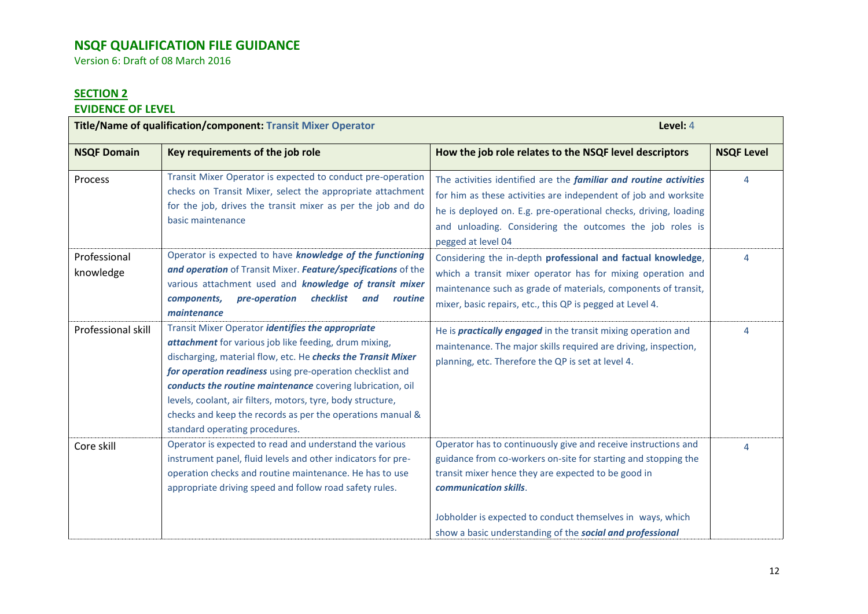Version 6: Draft of 08 March 2016

### **SECTION 2 EVIDENCE OF LEVEL**

| Title/Name of qualification/component: Transit Mixer Operator<br>Level: 4 |                                                                                                                                                                                                                                                                                                                                                                                                                                                                             |                                                                                                                                                                                                                                                                                                                                             |                   |
|---------------------------------------------------------------------------|-----------------------------------------------------------------------------------------------------------------------------------------------------------------------------------------------------------------------------------------------------------------------------------------------------------------------------------------------------------------------------------------------------------------------------------------------------------------------------|---------------------------------------------------------------------------------------------------------------------------------------------------------------------------------------------------------------------------------------------------------------------------------------------------------------------------------------------|-------------------|
| <b>NSQF Domain</b>                                                        | Key requirements of the job role                                                                                                                                                                                                                                                                                                                                                                                                                                            | How the job role relates to the NSQF level descriptors                                                                                                                                                                                                                                                                                      | <b>NSQF Level</b> |
| Process                                                                   | Transit Mixer Operator is expected to conduct pre-operation<br>checks on Transit Mixer, select the appropriate attachment<br>for the job, drives the transit mixer as per the job and do<br>basic maintenance                                                                                                                                                                                                                                                               | The activities identified are the familiar and routine activities<br>for him as these activities are independent of job and worksite<br>he is deployed on. E.g. pre-operational checks, driving, loading<br>and unloading. Considering the outcomes the job roles is<br>pegged at level 04                                                  | 4                 |
| Professional<br>knowledge                                                 | Operator is expected to have knowledge of the functioning<br>and operation of Transit Mixer. Feature/specifications of the<br>various attachment used and knowledge of transit mixer<br><b>checklist</b><br>components,<br>pre-operation<br>routine<br>and<br>maintenance                                                                                                                                                                                                   | Considering the in-depth professional and factual knowledge,<br>which a transit mixer operator has for mixing operation and<br>maintenance such as grade of materials, components of transit,<br>mixer, basic repairs, etc., this QP is pegged at Level 4.                                                                                  | 4                 |
| <b>Professional skill</b>                                                 | Transit Mixer Operator <i>identifies the appropriate</i><br>attachment for various job like feeding, drum mixing,<br>discharging, material flow, etc. He checks the Transit Mixer<br>for operation readiness using pre-operation checklist and<br>conducts the routine maintenance covering lubrication, oil<br>levels, coolant, air filters, motors, tyre, body structure,<br>checks and keep the records as per the operations manual &<br>standard operating procedures. | He is <b>practically engaged</b> in the transit mixing operation and<br>maintenance. The major skills required are driving, inspection,<br>planning, etc. Therefore the QP is set at level 4.                                                                                                                                               | 4                 |
| Core skill                                                                | Operator is expected to read and understand the various<br>instrument panel, fluid levels and other indicators for pre-<br>operation checks and routine maintenance. He has to use<br>appropriate driving speed and follow road safety rules.                                                                                                                                                                                                                               | Operator has to continuously give and receive instructions and<br>guidance from co-workers on-site for starting and stopping the<br>transit mixer hence they are expected to be good in<br>communication skills.<br>Jobholder is expected to conduct themselves in ways, which<br>show a basic understanding of the social and professional | 4                 |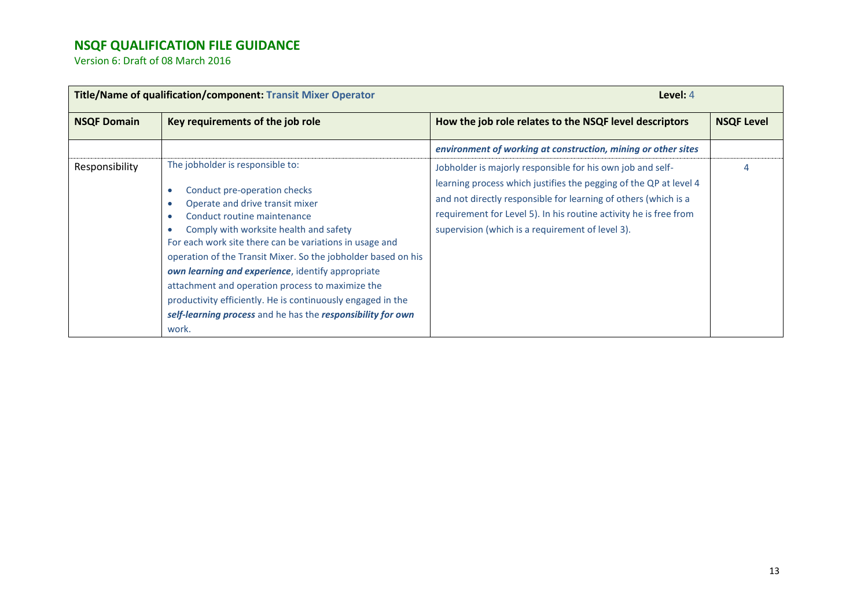|                    | <b>Title/Name of qualification/component: Transit Mixer Operator</b>                                                                                                                                                                                                                                                                                                                                                                                                                                                                                     | Level: 4                                                                                                                                                                                                                                                                                                                    |                   |
|--------------------|----------------------------------------------------------------------------------------------------------------------------------------------------------------------------------------------------------------------------------------------------------------------------------------------------------------------------------------------------------------------------------------------------------------------------------------------------------------------------------------------------------------------------------------------------------|-----------------------------------------------------------------------------------------------------------------------------------------------------------------------------------------------------------------------------------------------------------------------------------------------------------------------------|-------------------|
| <b>NSQF Domain</b> | Key requirements of the job role                                                                                                                                                                                                                                                                                                                                                                                                                                                                                                                         | How the job role relates to the NSQF level descriptors                                                                                                                                                                                                                                                                      | <b>NSQF Level</b> |
|                    |                                                                                                                                                                                                                                                                                                                                                                                                                                                                                                                                                          | environment of working at construction, mining or other sites                                                                                                                                                                                                                                                               |                   |
| Responsibility     | The jobholder is responsible to:<br>Conduct pre-operation checks<br>Operate and drive transit mixer<br>Conduct routine maintenance<br>Comply with worksite health and safety<br>For each work site there can be variations in usage and<br>operation of the Transit Mixer. So the jobholder based on his<br>own learning and experience, identify appropriate<br>attachment and operation process to maximize the<br>productivity efficiently. He is continuously engaged in the<br>self-learning process and he has the responsibility for own<br>work. | Jobholder is majorly responsible for his own job and self-<br>learning process which justifies the pegging of the QP at level 4<br>and not directly responsible for learning of others (which is a<br>requirement for Level 5). In his routine activity he is free from<br>supervision (which is a requirement of level 3). |                   |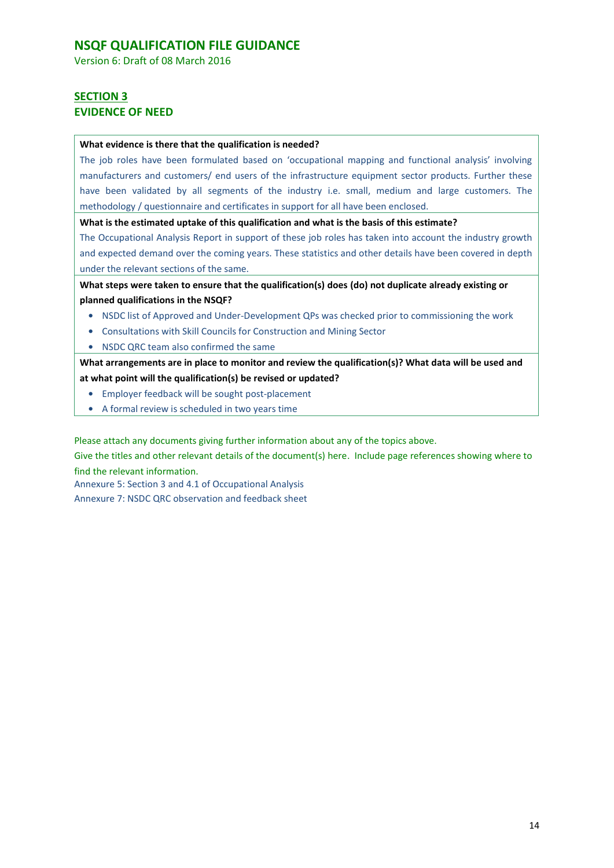Version 6: Draft of 08 March 2016

### **SECTION 3 EVIDENCE OF NEED**

#### **What evidence is there that the qualification is needed?**

The job roles have been formulated based on 'occupational mapping and functional analysis' involving manufacturers and customers/ end users of the infrastructure equipment sector products. Further these have been validated by all segments of the industry i.e. small, medium and large customers. The methodology / questionnaire and certificates in support for all have been enclosed.

**What is the estimated uptake of this qualification and what is the basis of this estimate?**

The Occupational Analysis Report in support of these job roles has taken into account the industry growth and expected demand over the coming years. These statistics and other details have been covered in depth under the relevant sections of the same.

**What steps were taken to ensure that the qualification(s) does (do) not duplicate already existing or planned qualifications in the NSQF?**

- **•** NSDC list of Approved and Under-Development QPs was checked prior to commissioning the work
- **•** Consultations with Skill Councils for Construction and Mining Sector
- **•** NSDC QRC team also confirmed the same

**What arrangements are in place to monitor and review the qualification(s)? What data will be used and at what point will the qualification(s) be revised or updated?**

- **•** Employer feedback will be sought post-placement
- **•** A formal review is scheduled in two years time

Please attach any documents giving further information about any of the topics above.

Give the titles and other relevant details of the document(s) here. Include page references showing where to find the relevant information.

Annexure 5: Section 3 and 4.1 of Occupational Analysis Annexure 7: NSDC QRC observation and feedback sheet